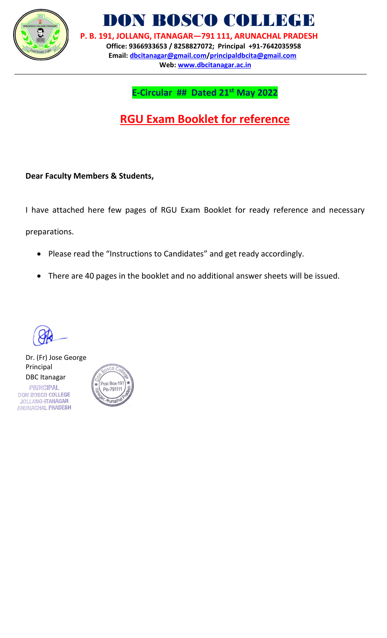

DON BOSCO COLLEGE

 **P. B. 191, JOLLANG, ITANAGAR—791 111, ARUNACHAL PRADESH Office: 9366933653 / 8258827072; Principal +91-7642035958 Email: [dbcitanagar@gmail.com/](mailto:dbcitanagar@gmail.com)principaldbcita@gmail.com Web: [www.dbcitanagar.a](http://www.dbcitanagar./)c.in**

## **E-Circular ## Dated 21st May 2022**

## **RGU Exam Booklet for reference**

**Dear Faculty Members & Students,**

I have attached here few pages of RGU Exam Booklet for ready reference and necessary

preparations.

- Please read the "Instructions to Candidates" and get ready accordingly.
- There are 40 pages in the booklet and no additional answer sheets will be issued.

Dr. (Fr) Jose George Principal DBC ItanagarPRINCIPAL

DON BOSCO COLLEGE JOLLANG-ITANAGAR ARUNACHAL PRADESH

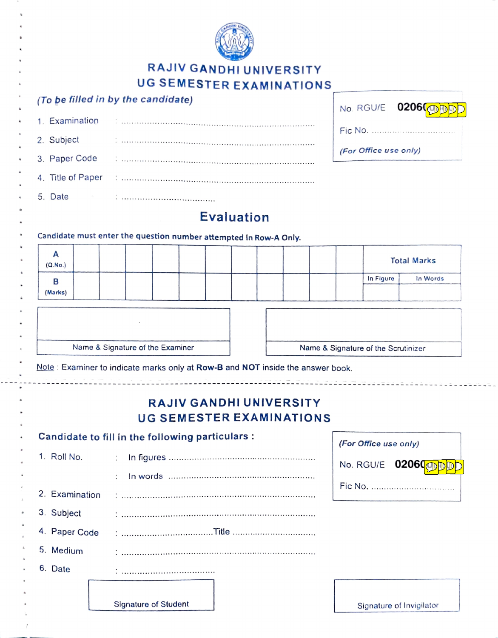

## RAJIV GANDHI UNIVERSITY UG SEMESTER EXAMINATIONS

|                   | UG SEMESTER EXAMINATIONS                                                       |                                             |
|-------------------|--------------------------------------------------------------------------------|---------------------------------------------|
|                   | (To be filled in by the candidate)                                             | 02060<br>No. RGU/E                          |
| 1. Examination    |                                                                                |                                             |
| 2. Subject        |                                                                                | Fic No.                                     |
| 3. Paper Code     |                                                                                | (For Office use only)                       |
| 4. Title of Paper |                                                                                |                                             |
| 5. Date           | the contract of the contract of                                                |                                             |
|                   | <b>Evaluation</b>                                                              |                                             |
|                   | Candidate must enter the question number attempted in Row-A Only.              |                                             |
| A                 |                                                                                | <b>Total Marks</b>                          |
| (Q.No.)<br>В      |                                                                                | In Figure<br>In Words                       |
| (Marks)           |                                                                                |                                             |
|                   |                                                                                |                                             |
|                   |                                                                                |                                             |
|                   | Name & Signature of the Examiner                                               | Name & Signature of the Scrutinizer         |
|                   | Note: Examiner to indicate marks only at Row-B and NOT inside the answer book. |                                             |
|                   |                                                                                | m (tri Minim manager) est est est est els s |
|                   | <b>RAJIV GANDHI UNIVERSITY</b>                                                 |                                             |
|                   | <b>UG SEMESTER EXAMINATIONS</b>                                                |                                             |
|                   | Candidate to fill in the following particulars :                               | (For Office use only)                       |
| 1. Roll No.       | ÷                                                                              | 02060<br>No. RGU/E                          |
|                   |                                                                                |                                             |
| 2. Examination    |                                                                                |                                             |
| 3. Subject        |                                                                                |                                             |
| 4. Paper Code     |                                                                                |                                             |
| 5. Medium         |                                                                                |                                             |
| 6. Date           |                                                                                |                                             |
|                   |                                                                                |                                             |
|                   | <b>Signature of Student</b>                                                    | Signature of Invigilator                    |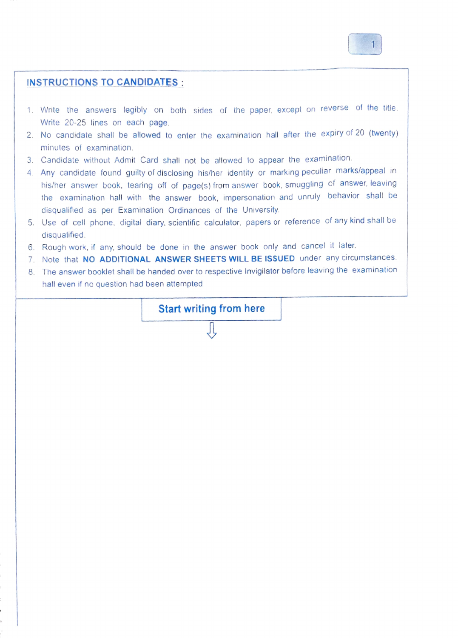

## INSTRUCTIONS TO CANDIDATES

- 1. Write the answers legibly on both sides of the paper, except on reverse of the title. Write 20-25 lines on each page.
- 2. No candidate shall be allowed to enter the examination hall after the expiry ot 20 (wenty) minutes of examination
- 3 Candidate without Admit Card shall not be allowed to appear the examination.
- 4. Any candidate found guilty of disclosing his/her identity or marking peculiar marks/appeal in his/her answer book, tearing off of page(s) from answer book, smuggling of answer, leaving the examination hall with the answer book, impersonation and unruly behavior shall be disqualified as per Examination Ordinances of the University.
- 5. Use of cell phone, digital diary, scientific calculator, papers or reference of any kind shall be disqualified
- 6. Rough work, if any, should be done in the answer book only and cancel it later.
- 7. Note that NO ADDITIONAL ANSWER SHEETS WILL BE ISSUED under any circumstances.
- 8 The answer booklet shall be handed over to respective Invigilator before leaving the examination hall even if no question had been attempted.

Start writing from here